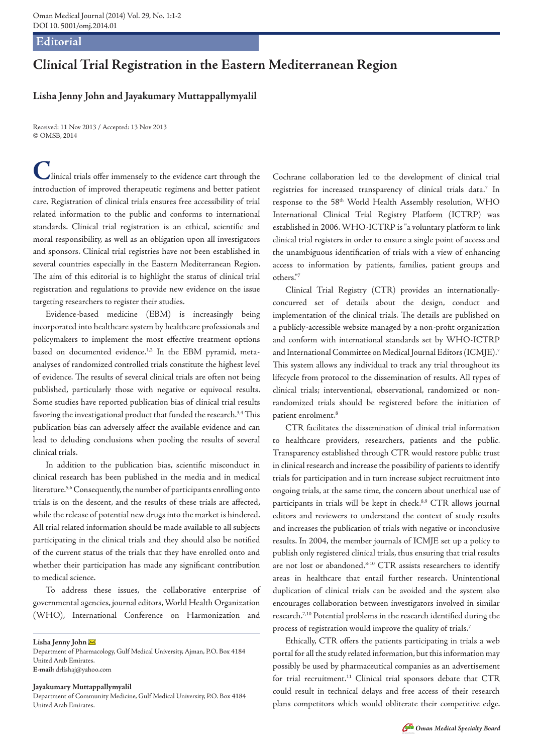### **Editorial**

# **Clinical Trial Registration in the Eastern Mediterranean Region**

## **Lisha Jenny John and Jayakumary Muttappallymyalil**

Received: 11 Nov 2013 / Accepted: 13 Nov 2013 © OMSB, 2014

**C**linical trials offer immensely to the evidence cart through the introduction of improved therapeutic regimens and better patient care. Registration of clinical trials ensures free accessibility of trial related information to the public and conforms to international standards. Clinical trial registration is an ethical, scientific and moral responsibility, as well as an obligation upon all investigators and sponsors. Clinical trial registries have not been established in several countries especially in the Eastern Mediterranean Region. The aim of this editorial is to highlight the status of clinical trial registration and regulations to provide new evidence on the issue targeting researchers to register their studies.

Evidence-based medicine (EBM) is increasingly being incorporated into healthcare system by healthcare professionals and policymakers to implement the most effective treatment options based on documented evidence.<sup>1,2</sup> In the EBM pyramid, metaanalyses of randomized controlled trials constitute the highest level of evidence. The results of several clinical trials are often not being published, particularly those with negative or equivocal results. Some studies have reported publication bias of clinical trial results favoring the investigational product that funded the research.<sup>3,4</sup> This publication bias can adversely affect the available evidence and can lead to deluding conclusions when pooling the results of several clinical trials.

In addition to the publication bias, scientific misconduct in clinical research has been published in the media and in medical literature.<sup>5,6</sup> Consequently, the number of participants enrolling onto trials is on the descent, and the results of these trials are affected, while the release of potential new drugs into the market is hindered. All trial related information should be made available to all subjects participating in the clinical trials and they should also be notified of the current status of the trials that they have enrolled onto and whether their participation has made any significant contribution to medical science.

To address these issues, the collaborative enterprise of governmental agencies, journal editors, World Health Organization (WHO), International Conference on Harmonization and

**Lisha Jenny John** 

Department of Pharmacology, Gulf Medical University, Ajman, P.O. Box 4184 United Arab Emirates. **E-mail:** drlishaj@yahoo.com

#### **Jayakumary Muttappallymyalil**

Department of Community Medicine, Gulf Medical University, P.O. Box 4184 United Arab Emirates.

Cochrane collaboration led to the development of clinical trial registries for increased transparency of clinical trials data.<sup>7</sup> In response to the 58<sup>th</sup> World Health Assembly resolution, WHO International Clinical Trial Registry Platform (ICTRP) was established in 2006. WHO-ICTRP is "a voluntary platform to link clinical trial registers in order to ensure a single point of access and the unambiguous identification of trials with a view of enhancing access to information by patients, families, patient groups and others."7

Clinical Trial Registry (CTR) provides an internationallyconcurred set of details about the design, conduct and implementation of the clinical trials. The details are published on a publicly-accessible website managed by a non-profit organization and conform with international standards set by WHO-ICTRP and International Committee on Medical Journal Editors (ICMJE).7 This system allows any individual to track any trial throughout its lifecycle from protocol to the dissemination of results. All types of clinical trials; interventional, observational, randomized or nonrandomized trials should be registered before the initiation of patient enrolment.<sup>8</sup>

CTR facilitates the dissemination of clinical trial information to healthcare providers, researchers, patients and the public. Transparency established through CTR would restore public trust in clinical research and increase the possibility of patients to identify trials for participation and in turn increase subject recruitment into ongoing trials, at the same time, the concern about unethical use of participants in trials will be kept in check.<sup>8,9</sup> CTR allows journal editors and reviewers to understand the context of study results and increases the publication of trials with negative or inconclusive results. In 2004, the member journals of ICMJE set up a policy to publish only registered clinical trials, thus ensuring that trial results are not lost or abandoned.<sup>8-10</sup> CTR assists researchers to identify areas in healthcare that entail further research. Unintentional duplication of clinical trials can be avoided and the system also encourages collaboration between investigators involved in similar research.7,10 Potential problems in the research identified during the process of registration would improve the quality of trials.<sup>7</sup>

Ethically, CTR offers the patients participating in trials a web portal for all the study related information, but this information may possibly be used by pharmaceutical companies as an advertisement for trial recruitment.<sup>11</sup> Clinical trial sponsors debate that CTR could result in technical delays and free access of their research plans competitors which would obliterate their competitive edge.